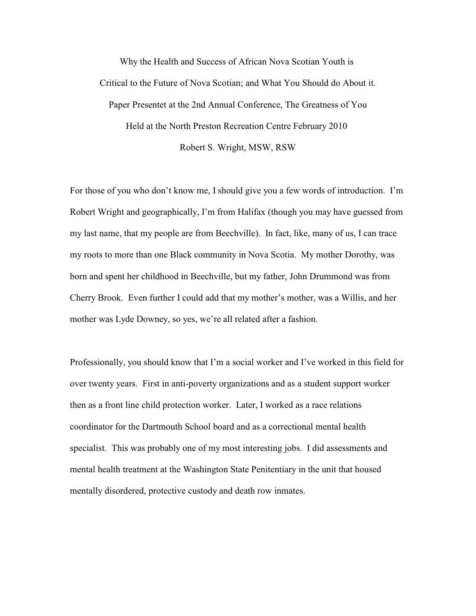Why the Health and Success of African Nova Scotian Youth is Critical to the Future of Nova Scotian; and What You Should do About it. Paper Presentet at the 2nd Annual Conference, The Greatness of You Held at the North Preston Recreation Centre February 2010 Robert S. Wright, MSW, RSW

For those of you who don't know me, I should give you a few words of introduction. I'm Robert Wright and geographically, I'm from Halifax (though you may have guessed from my last name, that my people are from Beechville). In fact, like, many of us, I can trace my roots to more than one Black community in Nova Scotia. My mother Dorothy, was born and spent her childhood in Beechville, but my father, John Drummond was from Cherry Brook. Even further I could add that my mother's mother, was a Willis, and her mother was Lyde Downey, so yes, we're all related after a fashion.

Professionally, you should know that I'm a social worker and I've worked in this field for over twenty years. First in anti-poverty organizations and as a student support worker then as a front line child protection worker. Later, I worked as a race relations coordinator for the Dartmouth School board and as a correctional mental health specialist. This was probably one of my most interesting jobs. I did assessments and mental health treatment at the Washington State Penitentiary in the unit that housed mentally disordered, protective custody and death row inmates.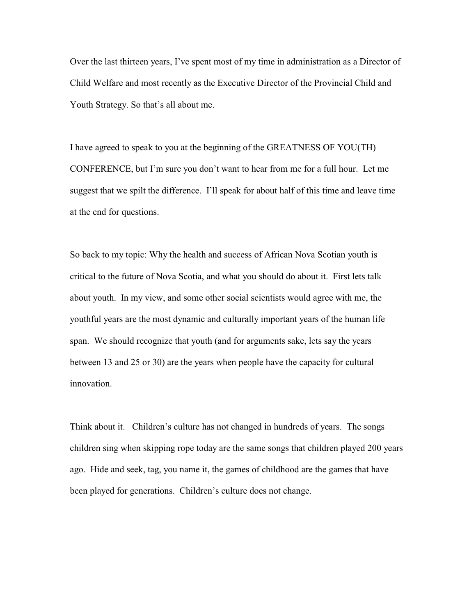Over the last thirteen years, I've spent most of my time in administration as a Director of Child Welfare and most recently as the Executive Director of the Provincial Child and Youth Strategy. So that's all about me.

I have agreed to speak to you at the beginning of the GREATNESS OF YOU(TH) CONFERENCE, but I'm sure you don't want to hear from me for a full hour. Let me suggest that we spilt the difference. I'll speak for about half of this time and leave time at the end for questions.

So back to my topic: Why the health and success of African Nova Scotian youth is critical to the future of Nova Scotia, and what you should do about it. First lets talk about youth. In my view, and some other social scientists would agree with me, the youthful years are the most dynamic and culturally important years of the human life span. We should recognize that youth (and for arguments sake, lets say the years between 13 and 25 or 30) are the years when people have the capacity for cultural innovation.

Think about it. Children's culture has not changed in hundreds of years. The songs children sing when skipping rope today are the same songs that children played 200 years ago. Hide and seek, tag, you name it, the games of childhood are the games that have been played for generations. Children's culture does not change.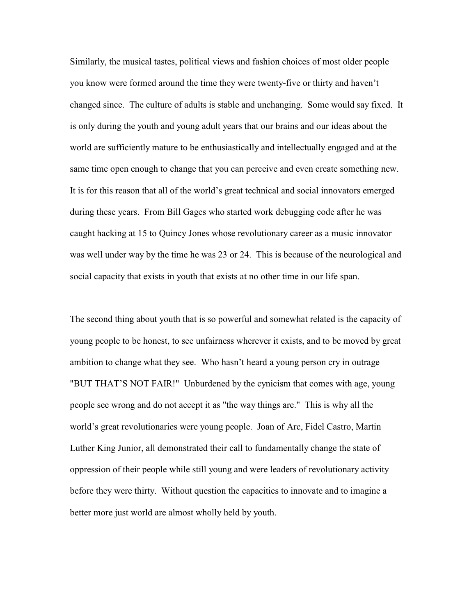Similarly, the musical tastes, political views and fashion choices of most older people you know were formed around the time they were twenty-five or thirty and haven't changed since. The culture of adults is stable and unchanging. Some would say fixed. It is only during the youth and young adult years that our brains and our ideas about the world are sufficiently mature to be enthusiastically and intellectually engaged and at the same time open enough to change that you can perceive and even create something new. It is for this reason that all of the world's great technical and social innovators emerged during these years. From Bill Gages who started work debugging code after he was caught hacking at 15 to Quincy Jones whose revolutionary career as a music innovator was well under way by the time he was 23 or 24. This is because of the neurological and social capacity that exists in youth that exists at no other time in our life span.

The second thing about youth that is so powerful and somewhat related is the capacity of young people to be honest, to see unfairness wherever it exists, and to be moved by great ambition to change what they see. Who hasn't heard a young person cry in outrage "BUT THAT'S NOT FAIR!" Unburdened by the cynicism that comes with age, young people see wrong and do not accept it as "the way things are." This is why all the world's great revolutionaries were young people. Joan of Arc, Fidel Castro, Martin Luther King Junior, all demonstrated their call to fundamentally change the state of oppression of their people while still young and were leaders of revolutionary activity before they were thirty. Without question the capacities to innovate and to imagine a better more just world are almost wholly held by youth.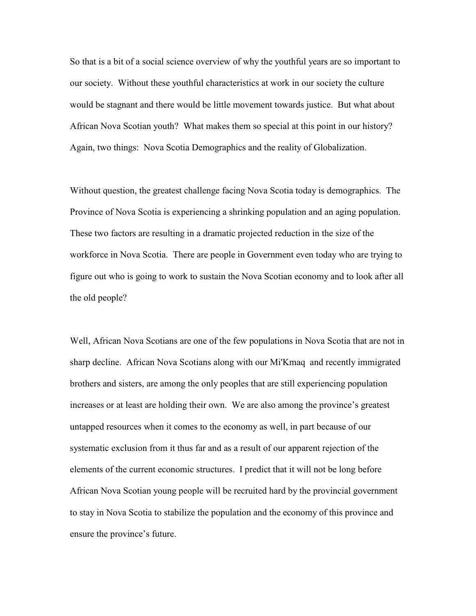So that is a bit of a social science overview of why the youthful years are so important to our society. Without these youthful characteristics at work in our society the culture would be stagnant and there would be little movement towards justice. But what about African Nova Scotian youth? What makes them so special at this point in our history? Again, two things: Nova Scotia Demographics and the reality of Globalization.

Without question, the greatest challenge facing Nova Scotia today is demographics. The Province of Nova Scotia is experiencing a shrinking population and an aging population. These two factors are resulting in a dramatic projected reduction in the size of the workforce in Nova Scotia. There are people in Government even today who are trying to figure out who is going to work to sustain the Nova Scotian economy and to look after all the old people?

Well, African Nova Scotians are one of the few populations in Nova Scotia that are not in sharp decline. African Nova Scotians along with our Mi'Kmaq and recently immigrated brothers and sisters, are among the only peoples that are still experiencing population increases or at least are holding their own. We are also among the province's greatest untapped resources when it comes to the economy as well, in part because of our systematic exclusion from it thus far and as a result of our apparent rejection of the elements of the current economic structures. I predict that it will not be long before African Nova Scotian young people will be recruited hard by the provincial government to stay in Nova Scotia to stabilize the population and the economy of this province and ensure the province's future.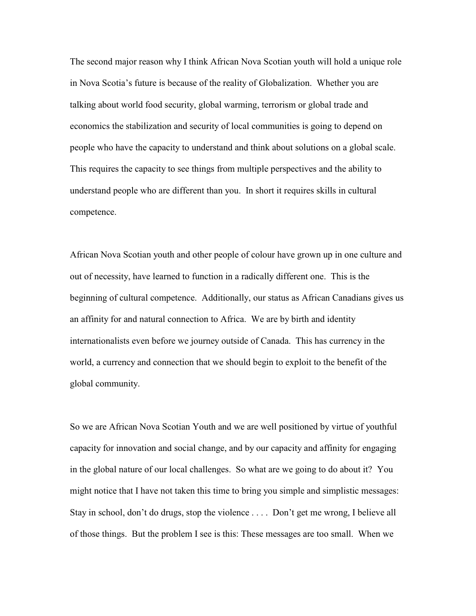The second major reason why I think African Nova Scotian youth will hold a unique role in Nova Scotia's future is because of the reality of Globalization. Whether you are talking about world food security, global warming, terrorism or global trade and economics the stabilization and security of local communities is going to depend on people who have the capacity to understand and think about solutions on a global scale. This requires the capacity to see things from multiple perspectives and the ability to understand people who are different than you. In short it requires skills in cultural competence.

African Nova Scotian youth and other people of colour have grown up in one culture and out of necessity, have learned to function in a radically different one. This is the beginning of cultural competence. Additionally, our status as African Canadians gives us an affinity for and natural connection to Africa. We are by birth and identity internationalists even before we journey outside of Canada. This has currency in the world, a currency and connection that we should begin to exploit to the benefit of the global community.

So we are African Nova Scotian Youth and we are well positioned by virtue of youthful capacity for innovation and social change, and by our capacity and affinity for engaging in the global nature of our local challenges. So what are we going to do about it? You might notice that I have not taken this time to bring you simple and simplistic messages: Stay in school, don't do drugs, stop the violence . . . . Don't get me wrong, I believe all of those things. But the problem I see is this: These messages are too small. When we